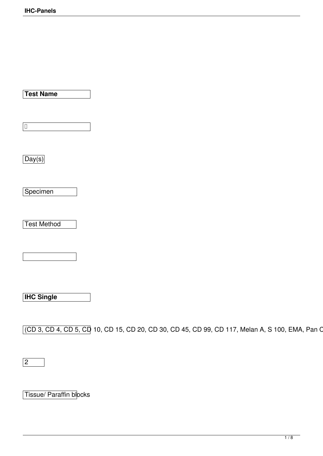**Test Name**

**Specimen** 

Day(s)

 $\vert$ D

Test Method

**IHC Single**

(CD 3, CD 4, CD 5, CD 10, CD 15, CD 20, CD 30, CD 45, CD 99, CD 117, Melan A, S 100, EMA, Pan C

2

Tissue/ Paraffin blocks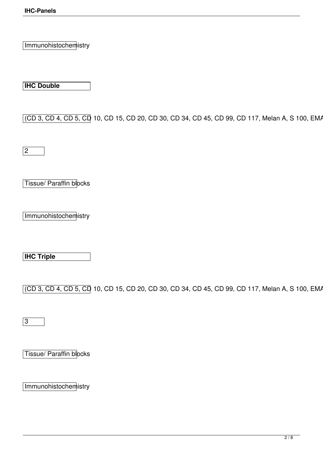Immunohistochemistry

**IHC Double**

(CD 3, CD 4, CD 5, CD 10, CD 15, CD 20, CD 30, CD 34, CD 45, CD 99, CD 117, Melan A, S 100, EMA

 $\sqrt{2}$ 

Tissue/ Paraffin blocks

Immunohistochemistry

**IHC Triple**

(CD 3, CD 4, CD 5, CD 10, CD 15, CD 20, CD 30, CD 34, CD 45, CD 99, CD 117, Melan A, S 100, EMA

3

Tissue/ Paraffin blocks

Immunohistochemistry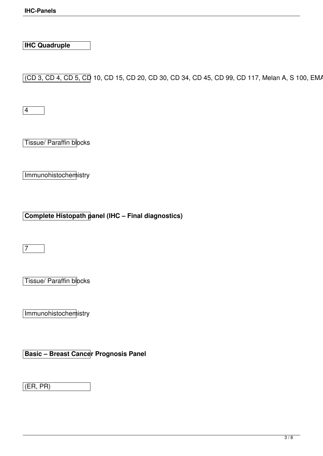**IHC Quadruple**

(CD 3, CD 4, CD 5, CD 10, CD 15, CD 20, CD 30, CD 34, CD 45, CD 99, CD 117, Melan A, S 100, EMA

4

Tissue/ Paraffin blocks

Immunohistochemistry

**Complete Histopath panel (IHC – Final diagnostics)**

 $\sqrt{7}$ 

Tissue/ Paraffin blocks

Immunohistochemistry

**Basic – Breast Cancer Prognosis Panel**

(ER, PR)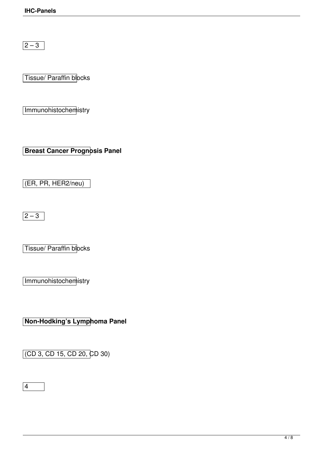$\sqrt{2-3}$ 

Tissue/ Paraffin blocks

Immunohistochemistry

**Breast Cancer Prognosis Panel**

(ER, PR, HER2/neu)

 $\sqrt{2-3}$ 

Tissue/ Paraffin blocks

Immunohistochemistry

**Non-Hodking's Lymphoma Panel**

(CD 3, CD 15, CD 20, CD 30)

 $\boxed{4}$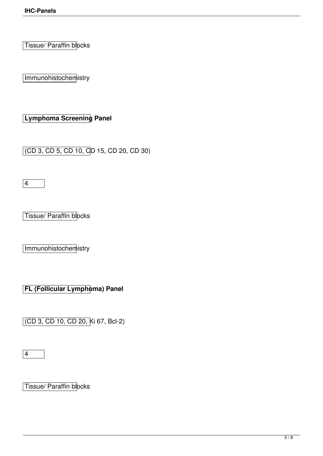Tissue/ Paraffin blocks

Immunohistochemistry

**Lymphoma Screening Panel**

(CD 3, CD 5, CD 10, CD 15, CD 20, CD 30)

4

Tissue/ Paraffin blocks

Immunohistochemistry

**FL (Follicular Lymphoma) Panel** 

(CD 3, CD 10, CD 20, Ki 67, Bcl-2)

4

Tissue/ Paraffin blocks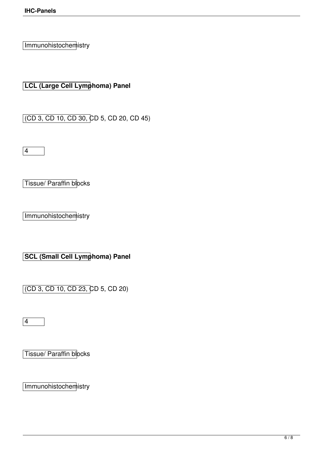Immunohistochemistry

**LCL (Large Cell Lymphoma) Panel**

(CD 3, CD 10, CD 30, CD 5, CD 20, CD 45)

4

Tissue/ Paraffin blocks

Immunohistochemistry

**SCL (Small Cell Lymphoma) Panel**

(CD 3, CD 10, CD 23, CD 5, CD 20)

4

Tissue/ Paraffin blocks

Immunohistochemistry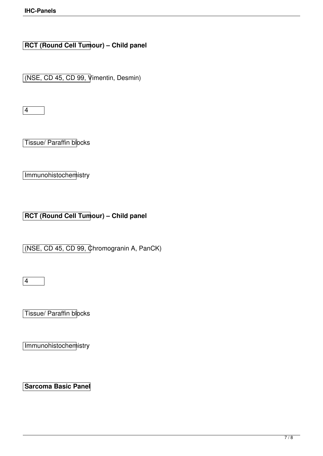**RCT (Round Cell Tumour) – Child panel** 

(NSE, CD 45, CD 99, Vimentin, Desmin)

4

Tissue/ Paraffin blocks

Immunohistochemistry

**RCT (Round Cell Tumour) – Child panel** 

(NSE, CD 45, CD 99, Chromogranin A, PanCK)

4

Tissue/ Paraffin blocks

Immunohistochemistry

**Sarcoma Basic Panel**